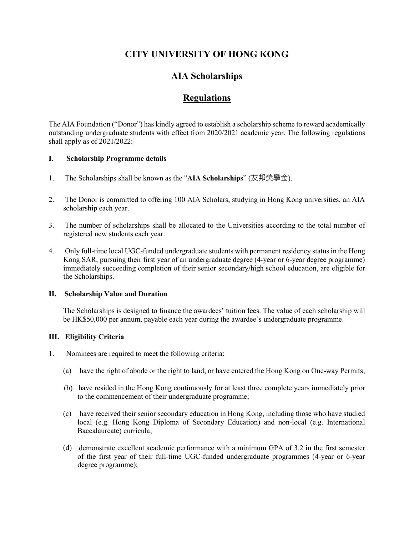# **CITY UNIVERSITY OF HONG KONG**

# **AIA Scholarships**

# **Regulations**

The AIA Foundation ("Donor") has kindly agreed to establish a scholarship scheme to reward academically outstanding undergraduate students with effect from 2020/2021 academic year. The following regulations shall apply as of 2021/2022:

### **I. Scholarship Programme details**

- 1. The Scholarships shall be known as the "**AIA Scholarships**" (友邦獎學金).
- 2. The Donor is committed to offering 100 AIA Scholars, studying in Hong Kong universities, an AIA scholarship each year.
- 3. The number of scholarships shall be allocated to the Universities according to the total number of registered new students each year.
- 4. Only full-time local UGC-funded undergraduate students with permanent residency status in the Hong Kong SAR, pursuing their first year of an undergraduate degree (4-year or 6-year degree programme) immediately succeeding completion of their senior secondary/high school education, are eligible for the Scholarships.

#### **II. Scholarship Value and Duration**

The Scholarships is designed to finance the awardees' tuition fees. The value of each scholarship will be HK\$50,000 per annum, payable each year during the awardee's undergraduate programme.

#### **III. Eligibility Criteria**

- 1. Nominees are required to meet the following criteria:
	- (a) have the right of abode or the right to land, or have entered the Hong Kong on One-way Permits;
	- (b) have resided in the Hong Kong continuously for at least three complete years immediately prior to the commencement of their undergraduate programme;
	- (c) have received their senior secondary education in Hong Kong, including those who have studied local (e.g. Hong Kong Diploma of Secondary Education) and non-local (e.g. International Baccalaureate) curricula;
	- (d) demonstrate excellent academic performance with a minimum GPA of 3.2 in the first semester of the first year of their full-time UGC-funded undergraduate programmes (4-year or 6-year degree programme);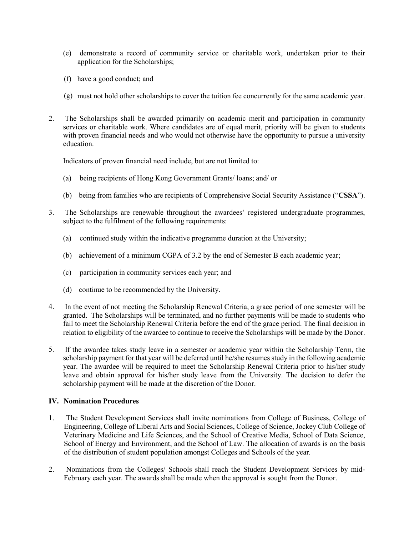- (e) demonstrate a record of community service or charitable work, undertaken prior to their application for the Scholarships;
- (f) have a good conduct; and
- (g) must not hold other scholarships to cover the tuition fee concurrently for the same academic year.
- 2. The Scholarships shall be awarded primarily on academic merit and participation in community services or charitable work. Where candidates are of equal merit, priority will be given to students with proven financial needs and who would not otherwise have the opportunity to pursue a university education.

Indicators of proven financial need include, but are not limited to:

- (a) being recipients of Hong Kong Government Grants/ loans; and/ or
- (b) being from families who are recipients of Comprehensive Social Security Assistance ("**CSSA**").
- 3. The Scholarships are renewable throughout the awardees' registered undergraduate programmes, subject to the fulfilment of the following requirements:
	- (a) continued study within the indicative programme duration at the University;
	- (b) achievement of a minimum CGPA of 3.2 by the end of Semester B each academic year;
	- (c) participation in community services each year; and
	- (d) continue to be recommended by the University.
- 4. In the event of not meeting the Scholarship Renewal Criteria, a grace period of one semester will be granted. The Scholarships will be terminated, and no further payments will be made to students who fail to meet the Scholarship Renewal Criteria before the end of the grace period. The final decision in relation to eligibility of the awardee to continue to receive the Scholarships will be made by the Donor.
- 5. If the awardee takes study leave in a semester or academic year within the Scholarship Term, the scholarship payment for that year will be deferred until he/she resumes study in the following academic year. The awardee will be required to meet the Scholarship Renewal Criteria prior to his/her study leave and obtain approval for his/her study leave from the University. The decision to defer the scholarship payment will be made at the discretion of the Donor.

#### **IV. Nomination Procedures**

- 1. The Student Development Services shall invite nominations from College of Business, College of Engineering, College of Liberal Arts and Social Sciences, College of Science, Jockey Club College of Veterinary Medicine and Life Sciences, and the School of Creative Media, School of Data Science, School of Energy and Environment, and the School of Law. The allocation of awards is on the basis of the distribution of student population amongst Colleges and Schools of the year.
- 2. Nominations from the Colleges/ Schools shall reach the Student Development Services by mid-February each year. The awards shall be made when the approval is sought from the Donor.